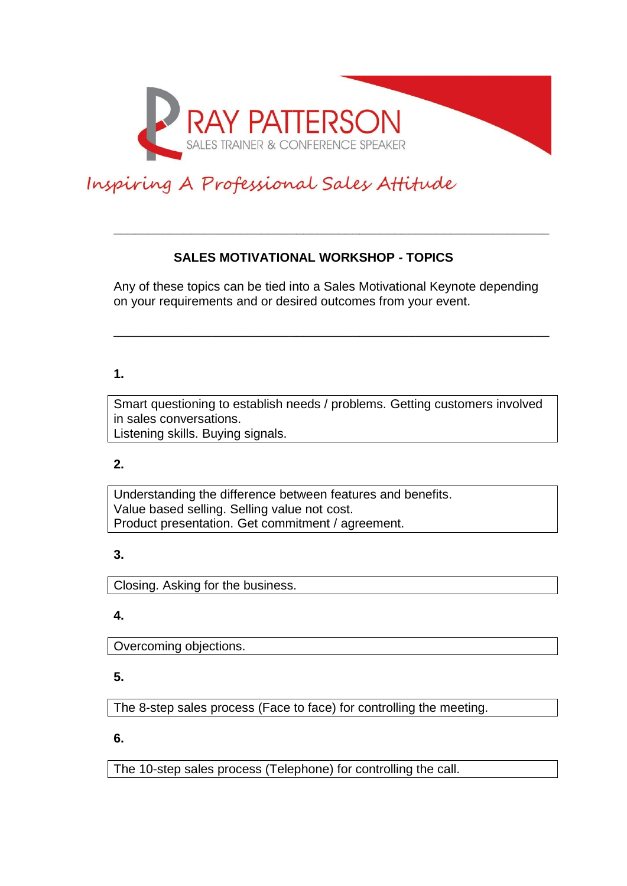

# Inspiring A Professional Sales Attitude

## **SALES MOTIVATIONAL WORKSHOP - TOPICS**

Any of these topics can be tied into a Sales Motivational Keynote depending on your requirements and or desired outcomes from your event.

\_\_\_\_\_\_\_\_\_\_\_\_\_\_\_\_\_\_\_\_\_\_\_\_\_\_\_\_\_\_\_\_\_\_\_\_\_\_\_\_\_\_\_\_\_\_\_\_\_\_\_\_\_\_\_\_\_\_\_\_\_\_

**\_\_\_\_\_\_\_\_\_\_\_\_\_\_\_\_\_\_\_\_\_\_\_\_\_\_\_\_\_\_\_\_\_\_\_\_\_\_\_\_\_\_\_\_\_\_\_\_\_\_\_\_\_\_\_\_\_\_\_\_\_\_**

## **1.**

Smart questioning to establish needs / problems. Getting customers involved in sales conversations. Listening skills. Buying signals.

#### **2.**

Understanding the difference between features and benefits. Value based selling. Selling value not cost. Product presentation. Get commitment / agreement.

#### **3.**

Closing. Asking for the business.

# **4.**

Overcoming objections.

# **5.**

The 8-step sales process (Face to face) for controlling the meeting.

**6.**

The 10-step sales process (Telephone) for controlling the call.